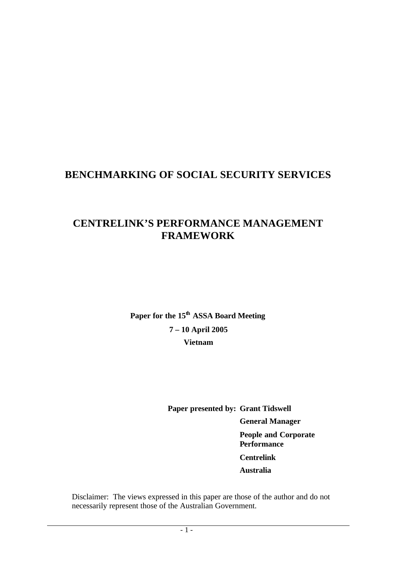# **BENCHMARKING OF SOCIAL SECURITY SERVICES**

# **CENTRELINK'S PERFORMANCE MANAGEMENT FRAMEWORK**

**Paper for the 15th ASSA Board Meeting 7 – 10 April 2005 Vietnam**

> **Paper presented by: Grant Tidswell General Manager People and Corporate Performance Centrelink Australia**

Disclaimer: The views expressed in this paper are those of the author and do not necessarily represent those of the Australian Government.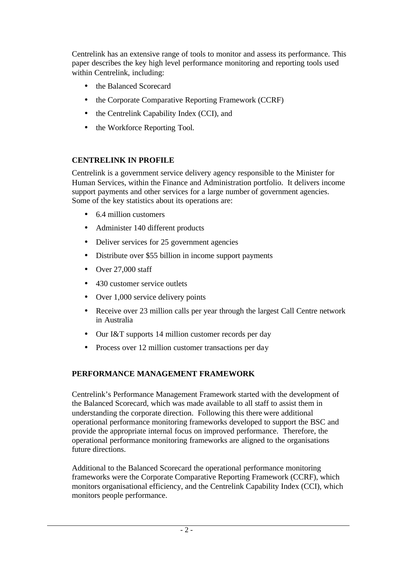Centrelink has an extensive range of tools to monitor and assess its performance. This paper describes the key high level performance monitoring and reporting tools used within Centrelink, including:

- the Balanced Scorecard
- the Corporate Comparative Reporting Framework (CCRF)
- the Centrelink Capability Index (CCI), and
- the Workforce Reporting Tool.

#### **CENTRELINK IN PROFILE**

Centrelink is a government service delivery agency responsible to the Minister for Human Services, within the Finance and Administration portfolio. It delivers income support payments and other services for a large number of government agencies. Some of the key statistics about its operations are:

- 6.4 million customers
- Administer 140 different products
- Deliver services for 25 government agencies
- Distribute over \$55 billion in income support payments
- Over 27,000 staff
- 430 customer service outlets
- Over 1,000 service delivery points
- Receive over 23 million calls per year through the largest Call Centre network in Australia
- Our I&T supports 14 million customer records per day
- Process over 12 million customer transactions per day

# **PERFORMANCE MANAGEMENT FRAMEWORK**

Centrelink's Performance Management Framework started with the development of the Balanced Scorecard, which was made available to all staff to assist them in understanding the corporate direction. Following this there were additional operational performance monitoring frameworks developed to support the BSC and provide the appropriate internal focus on improved performance. Therefore, the operational performance monitoring frameworks are aligned to the organisations future directions.

Additional to the Balanced Scorecard the operational performance monitoring frameworks were the Corporate Comparative Reporting Framework (CCRF), which monitors organisational efficiency, and the Centrelink Capability Index (CCI), which monitors people performance.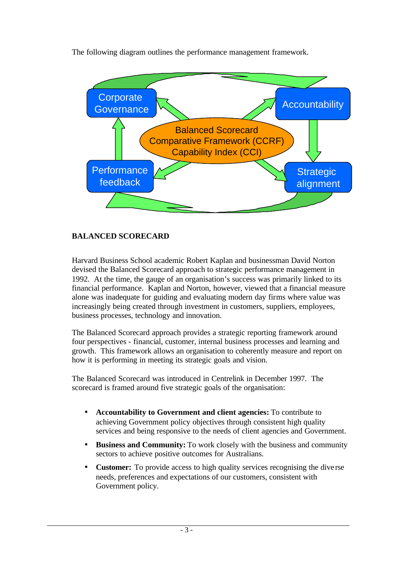The following diagram outlines the performance management framework.



# **BALANCED SCORECARD**

Harvard Business School academic Robert Kaplan and businessman David Norton devised the Balanced Scorecard approach to strategic performance management in 1992. At the time, the gauge of an organisation's success was primarily linked to its financial performance. Kaplan and Norton, however, viewed that a financial measure alone was inadequate for guiding and evaluating modern day firms where value was increasingly being created through investment in customers, suppliers, employees, business processes, technology and innovation.

The Balanced Scorecard approach provides a strategic reporting framework around four perspectives - financial, customer, internal business processes and learning and growth. This framework allows an organisation to coherently measure and report on how it is performing in meeting its strategic goals and vision.

The Balanced Scorecard was introduced in Centrelink in December 1997. The scorecard is framed around five strategic goals of the organisation:

- **· Accountability to Government and client agencies:** To contribute to achieving Government policy objectives through consistent high quality services and being responsive to the needs of client agencies and Government.
- **· Business and Community:** To work closely with the business and community sectors to achieve positive outcomes for Australians.
- **Customer:** To provide access to high quality services recognising the diverse needs, preferences and expectations of our customers, consistent with Government policy.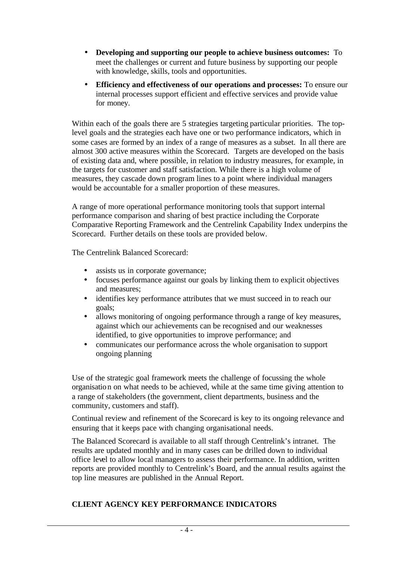- **· Developing and supporting our people to achieve business outcomes:** To meet the challenges or current and future business by supporting our people with knowledge, skills, tools and opportunities.
- **Efficiency and effectiveness of our operations and processes:** To ensure our internal processes support efficient and effective services and provide value for money.

Within each of the goals there are 5 strategies targeting particular priorities. The toplevel goals and the strategies each have one or two performance indicators, which in some cases are formed by an index of a range of measures as a subset. In all there are almost 300 active measures within the Scorecard. Targets are developed on the basis of existing data and, where possible, in relation to industry measures, for example, in the targets for customer and staff satisfaction. While there is a high volume of measures, they cascade down program lines to a point where individual managers would be accountable for a smaller proportion of these measures.

A range of more operational performance monitoring tools that support internal performance comparison and sharing of best practice including the Corporate Comparative Reporting Framework and the Centrelink Capability Index underpins the Scorecard. Further details on these tools are provided below.

The Centrelink Balanced Scorecard:

- assists us in corporate governance;
- ü focuses performance against our goals by linking them to explicit objectives and measures;
- identifies key performance attributes that we must succeed in to reach our goals;
- allows monitoring of ongoing performance through a range of key measures, against which our achievements can be recognised and our weaknesses identified, to give opportunities to improve performance; and
- ü communicates our performance across the whole organisation to support ongoing planning

Use of the strategic goal framework meets the challenge of focussing the whole organisation on what needs to be achieved, while at the same time giving attention to a range of stakeholders (the government, client departments, business and the community, customers and staff).

Continual review and refinement of the Scorecard is key to its ongoing relevance and ensuring that it keeps pace with changing organisational needs.

The Balanced Scorecard is available to all staff through Centrelink's intranet. The results are updated monthly and in many cases can be drilled down to individual office level to allow local managers to assess their performance. In addition, written reports are provided monthly to Centrelink's Board, and the annual results against the top line measures are published in the Annual Report.

#### **CLIENT AGENCY KEY PERFORMANCE INDICATORS**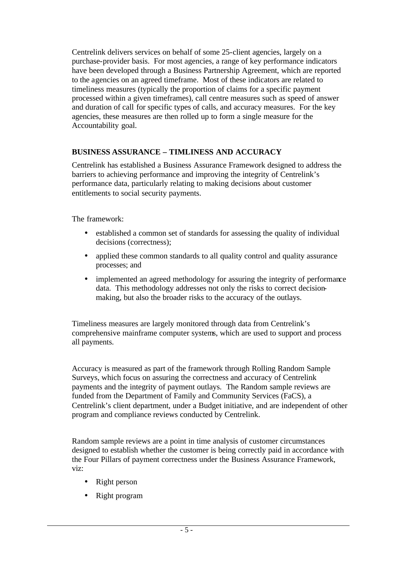Centrelink delivers services on behalf of some 25-client agencies, largely on a purchase-provider basis. For most agencies, a range of key performance indicators have been developed through a Business Partnership Agreement, which are reported to the agencies on an agreed timeframe. Most of these indicators are related to timeliness measures (typically the proportion of claims for a specific payment processed within a given timeframes), call centre measures such as speed of answer and duration of call for specific types of calls, and accuracy measures. For the key agencies, these measures are then rolled up to form a single measure for the Accountability goal.

#### **BUSINESS ASSURANCE – TIMLINESS AND ACCURACY**

Centrelink has established a Business Assurance Framework designed to address the barriers to achieving performance and improving the integrity of Centrelink's performance data, particularly relating to making decisions about customer entitlements to social security payments.

The framework:

- established a common set of standards for assessing the quality of individual decisions (correctness);
- applied these common standards to all quality control and quality assurance processes; and
- implemented an agreed methodology for assuring the integrity of performance data. This methodology addresses not only the risks to correct decisionmaking, but also the broader risks to the accuracy of the outlays.

Timeliness measures are largely monitored through data from Centrelink's comprehensive mainframe computer systems, which are used to support and process all payments.

Accuracy is measured as part of the framework through Rolling Random Sample Surveys, which focus on assuring the correctness and accuracy of Centrelink payments and the integrity of payment outlays. The Random sample reviews are funded from the Department of Family and Community Services (FaCS), a Centrelink's client department, under a Budget initiative, and are independent of other program and compliance reviews conducted by Centrelink.

Random sample reviews are a point in time analysis of customer circumstances designed to establish whether the customer is being correctly paid in accordance with the Four Pillars of payment correctness under the Business Assurance Framework, viz:

- Right person
- Right program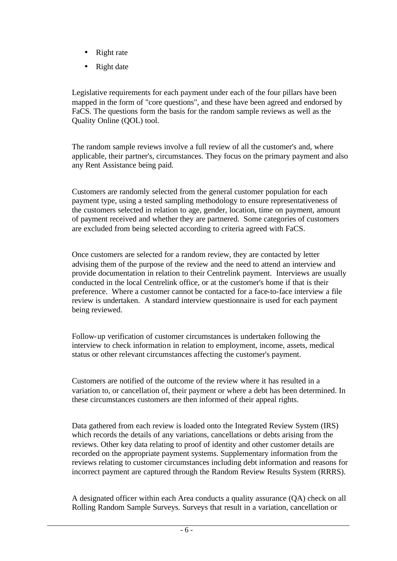- Right rate
- Right date

Legislative requirements for each payment under each of the four pillars have been mapped in the form of "core questions", and these have been agreed and endorsed by FaCS. The questions form the basis for the random sample reviews as well as the Quality Online (QOL) tool.

The random sample reviews involve a full review of all the customer's and, where applicable, their partner's, circumstances. They focus on the primary payment and also any Rent Assistance being paid.

Customers are randomly selected from the general customer population for each payment type, using a tested sampling methodology to ensure representativeness of the customers selected in relation to age, gender, location, time on payment, amount of payment received and whether they are partnered. Some categories of customers are excluded from being selected according to criteria agreed with FaCS.

Once customers are selected for a random review, they are contacted by letter advising them of the purpose of the review and the need to attend an interview and provide documentation in relation to their Centrelink payment. Interviews are usually conducted in the local Centrelink office, or at the customer's home if that is their preference. Where a customer cannot be contacted for a face-to-face interview a file review is undertaken. A standard interview questionnaire is used for each payment being reviewed.

Follow-up verification of customer circumstances is undertaken following the interview to check information in relation to employment, income, assets, medical status or other relevant circumstances affecting the customer's payment.

Customers are notified of the outcome of the review where it has resulted in a variation to, or cancellation of, their payment or where a debt has been determined. In these circumstances customers are then informed of their appeal rights.

Data gathered from each review is loaded onto the Integrated Review System (IRS) which records the details of any variations, cancellations or debts arising from the reviews. Other key data relating to proof of identity and other customer details are recorded on the appropriate payment systems. Supplementary information from the reviews relating to customer circumstances including debt information and reasons for incorrect payment are captured through the Random Review Results System (RRRS).

A designated officer within each Area conducts a quality assurance (QA) check on all Rolling Random Sample Surveys. Surveys that result in a variation, cancellation or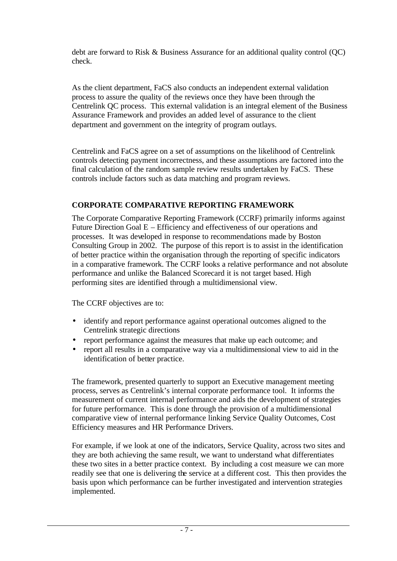debt are forward to Risk & Business Assurance for an additional quality control (QC) check.

As the client department, FaCS also conducts an independent external validation process to assure the quality of the reviews once they have been through the Centrelink QC process. This external validation is an integral element of the Business Assurance Framework and provides an added level of assurance to the client department and government on the integrity of program outlays.

Centrelink and FaCS agree on a set of assumptions on the likelihood of Centrelink controls detecting payment incorrectness, and these assumptions are factored into the final calculation of the random sample review results undertaken by FaCS. These controls include factors such as data matching and program reviews.

# **CORPORATE COMPARATIVE REPORTING FRAMEWORK**

The Corporate Comparative Reporting Framework (CCRF) primarily informs against Future Direction Goal E – Efficiency and effectiveness of our operations and processes. It was developed in response to recommendations made by Boston Consulting Group in 2002. The purpose of this report is to assist in the identification of better practice within the organisation through the reporting of specific indicators in a comparative framework. The CCRF looks a relative performance and not absolute performance and unlike the Balanced Scorecard it is not target based. High performing sites are identified through a multidimensional view.

The CCRF objectives are to:

- identify and report performance against operational outcomes aligned to the Centrelink strategic directions
- report performance against the measures that make up each outcome; and
- report all results in a comparative way via a multidimensional view to aid in the identification of better practice.

The framework, presented quarterly to support an Executive management meeting process, serves as Centrelink's internal corporate performance tool. It informs the measurement of current internal performance and aids the development of strategies for future performance. This is done through the provision of a multidimensional comparative view of internal performance linking Service Quality Outcomes, Cost Efficiency measures and HR Performance Drivers.

For example, if we look at one of the indicators, Service Quality, across two sites and they are both achieving the same result, we want to understand what differentiates these two sites in a better practice context. By including a cost measure we can more readily see that one is delivering the service at a different cost. This then provides the basis upon which performance can be further investigated and intervention strategies implemented.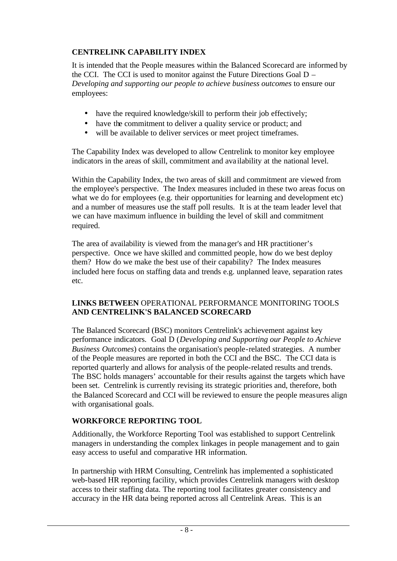# **CENTRELINK CAPABILITY INDEX**

It is intended that the People measures within the Balanced Scorecard are informed by the CCI. The CCI is used to monitor against the Future Directions Goal D – *Developing and supporting our people to achieve business outcomes* to ensure our employees:

- have the required knowledge/skill to perform their job effectively;
- have the commitment to deliver a quality service or product; and
- will be available to deliver services or meet project timeframes.

The Capability Index was developed to allow Centrelink to monitor key employee indicators in the areas of skill, commitment and ava ilability at the national level.

Within the Capability Index, the two areas of skill and commitment are viewed from the employee's perspective. The Index measures included in these two areas focus on what we do for employees (e.g. their opportunities for learning and development etc) and a number of measures use the staff poll results. It is at the team leader level that we can have maximum influence in building the level of skill and commitment required.

The area of availability is viewed from the manager's and HR practitioner's perspective. Once we have skilled and committed people, how do we best deploy them? How do we make the best use of their capability? The Index measures included here focus on staffing data and trends e.g. unplanned leave, separation rates etc.

#### **LINKS BETWEEN** OPERATIONAL PERFORMANCE MONITORING TOOLS **AND CENTRELINK'S BALANCED SCORECARD**

The Balanced Scorecard (BSC) monitors Centrelink's achievement against key performance indicators. Goal D (*Developing and Supporting our People to Achieve Business Outcomes*) contains the organisation's people-related strategies. A number of the People measures are reported in both the CCI and the BSC. The CCI data is reported quarterly and allows for analysis of the people-related results and trends. The BSC holds managers' accountable for their results against the targets which have been set. Centrelink is currently revising its strategic priorities and, therefore, both the Balanced Scorecard and CCI will be reviewed to ensure the people measures align with organisational goals.

# **WORKFORCE REPORTING TOOL**

Additionally, the Workforce Reporting Tool was established to support Centrelink managers in understanding the complex linkages in people management and to gain easy access to useful and comparative HR information.

In partnership with HRM Consulting, Centrelink has implemented a sophisticated web-based HR reporting facility, which provides Centrelink managers with desktop access to their staffing data. The reporting tool facilitates greater consistency and accuracy in the HR data being reported across all Centrelink Areas. This is an